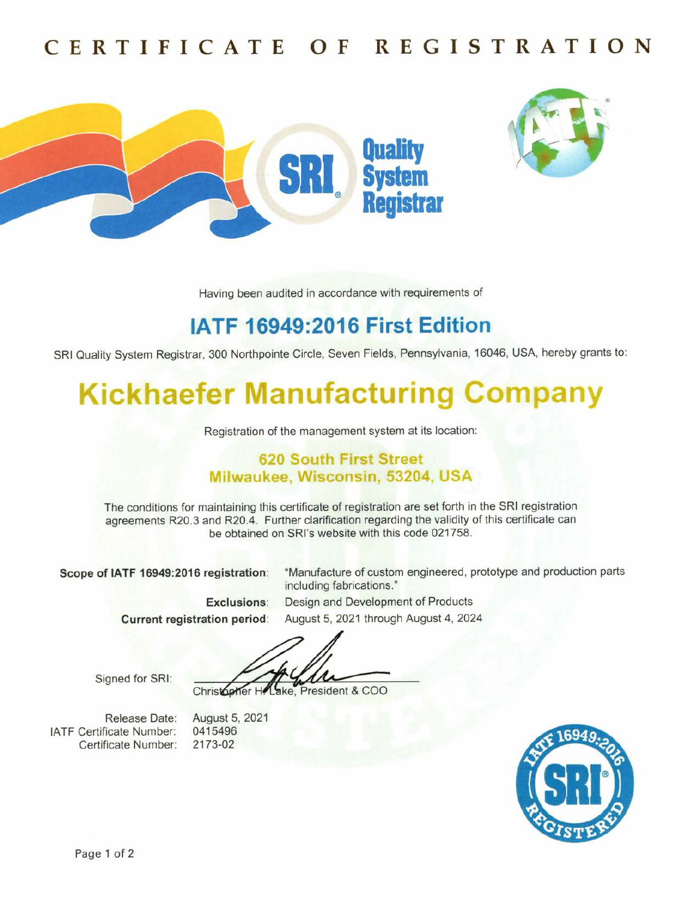## CERTIFICATE OF REGISTRATION





Having been audited in accordance with requirements of

## IATF 16949:2016 First Edition

SRI Quality System Registrar, 300 Northpointe Circle, Seven Fields, Pennsylvania,16046, USA, hereby grants to:

# **Kickhaefer Manufacturing Company**

Registration of the management system at its location:

#### 620 South First Street Milwaukee, Wisconsin, 53204, USA

The conditions for maintaining this certificate of registration are set forth in the SRl registration agreements R20.3 and R20.4. Further clarification regarding the validity of this certificate can be obtained on SRl's website with this code 021758.

Scope of lATF 16949:2016 registration: "Manufacture of custom engineered, prototype and production parts

including fabrications." Exclusions: Design and Development of Products Current registration period: August 5, 2021 through August 4, 2024

Signed for SRl:

Christopher He ake. President & COO

Release Date: IATF Certificate Number: Certificate Number: August 5, 2021 0415496 2173-02